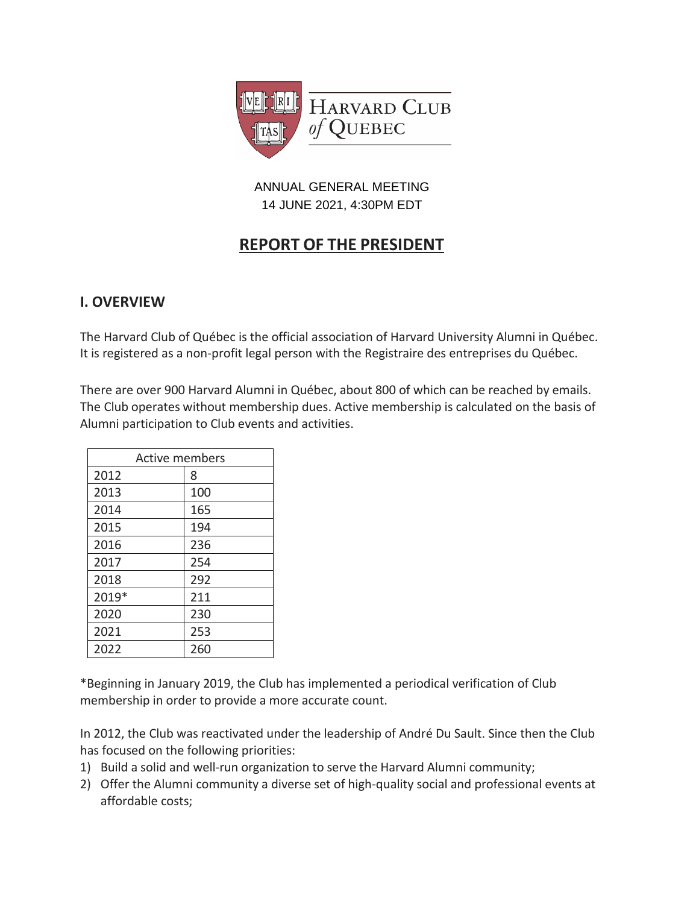

## ANNUAL GENERAL MEETING 14 JUNE 2021, 4:30PM EDT

# **REPORT OF THE PRESIDENT**

# **I. OVERVIEW**

The Harvard Club of Québec is the official association of Harvard University Alumni in Québec. It is registered as a non-profit legal person with the Registraire des entreprises du Québec.

There are over 900 Harvard Alumni in Québec, about 800 of which can be reached by emails. The Club operates without membership dues. Active membership is calculated on the basis of Alumni participation to Club events and activities.

| <b>Active members</b> |     |  |
|-----------------------|-----|--|
| 2012                  | 8   |  |
| 2013                  | 100 |  |
| 2014                  | 165 |  |
| 2015                  | 194 |  |
| 2016                  | 236 |  |
| 2017                  | 254 |  |
| 2018                  | 292 |  |
| 2019*                 | 211 |  |
| 2020                  | 230 |  |
| 2021                  | 253 |  |
| 2022                  | 260 |  |

\*Beginning in January 2019, the Club has implemented a periodical verification of Club membership in order to provide a more accurate count.

In 2012, the Club was reactivated under the leadership of André Du Sault. Since then the Club has focused on the following priorities:

- 1) Build a solid and well-run organization to serve the Harvard Alumni community;
- 2) Offer the Alumni community a diverse set of high-quality social and professional events at affordable costs;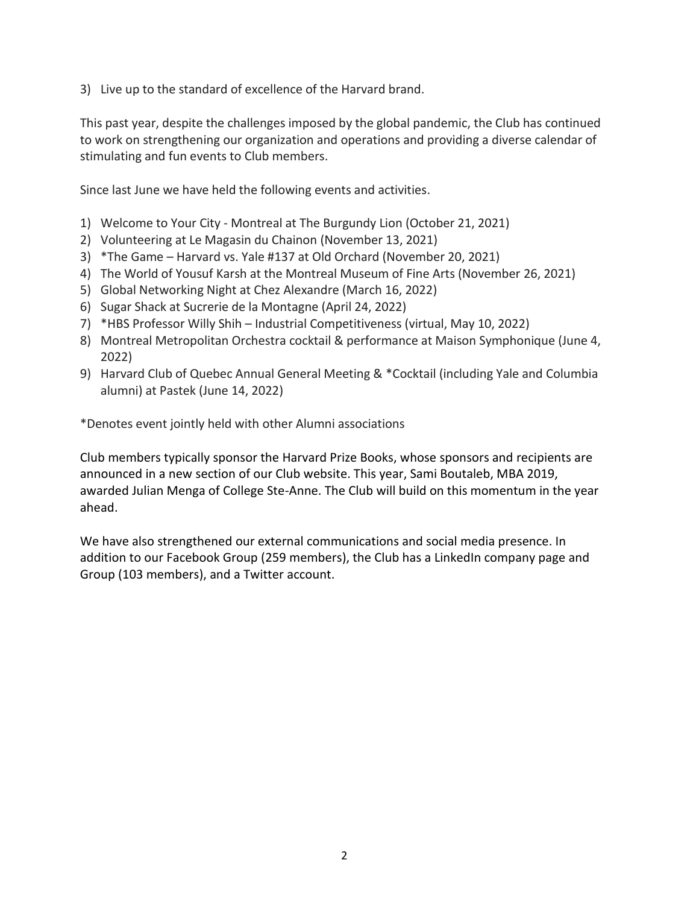3) Live up to the standard of excellence of the Harvard brand.

This past year, despite the challenges imposed by the global pandemic, the Club has continued to work on strengthening our organization and operations and providing a diverse calendar of stimulating and fun events to Club members.

Since last June we have held the following events and activities.

- 1) Welcome to Your City Montreal at The Burgundy Lion (October 21, 2021)
- 2) Volunteering at Le Magasin du Chainon (November 13, 2021)
- 3) \*The Game Harvard vs. Yale #137 at Old Orchard (November 20, 2021)
- 4) The World of Yousuf Karsh at the Montreal Museum of Fine Arts (November 26, 2021)
- 5) Global Networking Night at Chez Alexandre (March 16, 2022)
- 6) Sugar Shack at Sucrerie de la Montagne (April 24, 2022)
- 7) \*HBS Professor Willy Shih Industrial Competitiveness (virtual, May 10, 2022)
- 8) Montreal Metropolitan Orchestra cocktail & performance at Maison Symphonique (June 4, 2022)
- 9) Harvard Club of Quebec Annual General Meeting & \*Cocktail (including Yale and Columbia alumni) at Pastek (June 14, 2022)

\*Denotes event jointly held with other Alumni associations

Club members typically sponsor the Harvard Prize Books, whose sponsors and recipients are announced in a new section of our Club website. This year, Sami Boutaleb, MBA 2019, awarded Julian Menga of College Ste-Anne. The Club will build on this momentum in the year ahead.

We have also strengthened our external communications and social media presence. In addition to our Facebook Group (259 members), the Club has a LinkedIn company page and Group (103 members), and a Twitter account.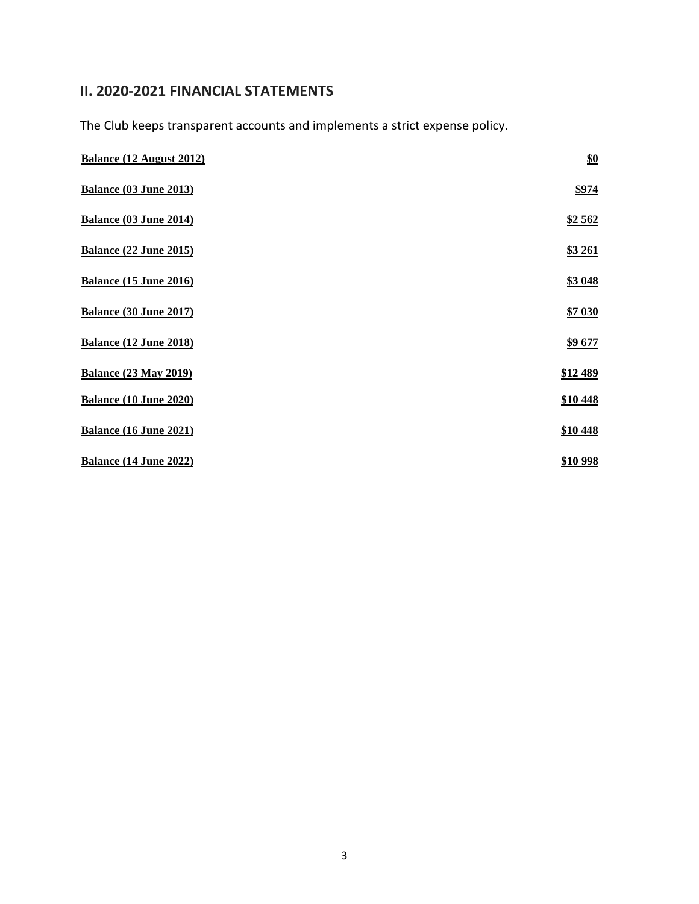# **II. 2020-2021 FINANCIAL STATEMENTS**

The Club keeps transparent accounts and implements a strict expense policy.

| <b>Balance (12 August 2012)</b> | $\underline{\$0}$ |
|---------------------------------|-------------------|
| <b>Balance (03 June 2013)</b>   | \$974             |
| <b>Balance (03 June 2014)</b>   | \$2562            |
| <b>Balance (22 June 2015)</b>   | <b>\$3 261</b>    |
| <b>Balance (15 June 2016)</b>   | \$3 048           |
| <b>Balance (30 June 2017)</b>   | \$7 030           |
| <b>Balance (12 June 2018)</b>   | \$9677            |
| <b>Balance (23 May 2019)</b>    | \$12 489          |
| <b>Balance (10 June 2020)</b>   | \$10 448          |
| <b>Balance (16 June 2021)</b>   | \$10 448          |
| Balance (14 June 2022)          | \$10 998          |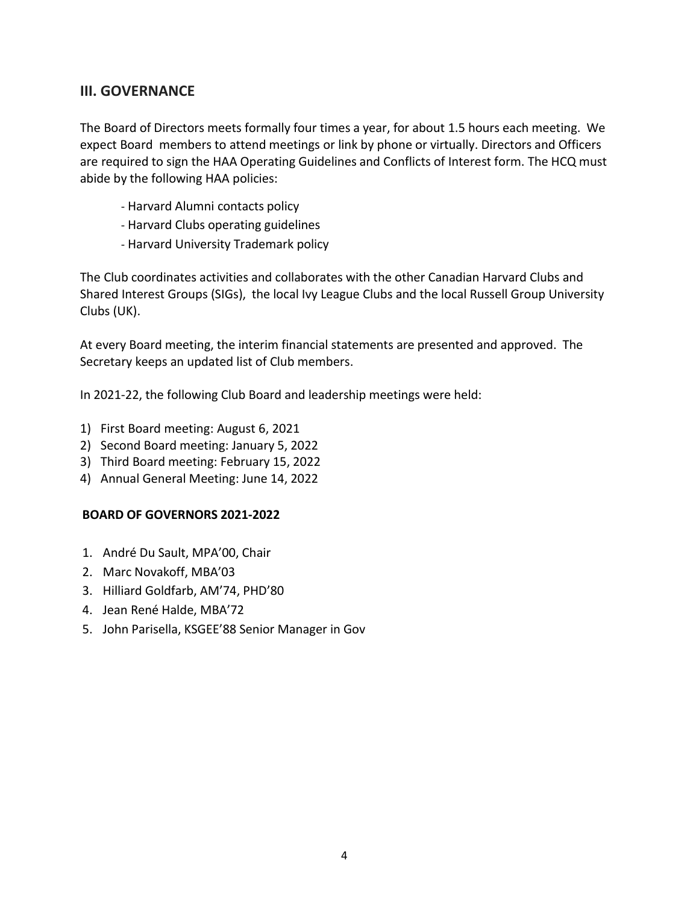## **III. GOVERNANCE**

The Board of Directors meets formally four times a year, for about 1.5 hours each meeting. We expect Board members to attend meetings or link by phone or virtually. Directors and Officers are required to sign the HAA Operating Guidelines and Conflicts of Interest form. The HCQ must abide by the following HAA policies:

- Harvard Alumni contacts policy
- Harvard Clubs operating guidelines
- Harvard University Trademark policy

The Club coordinates activities and collaborates with the other Canadian Harvard Clubs and Shared Interest Groups (SIGs), the local Ivy League Clubs and the local Russell Group University Clubs (UK).

At every Board meeting, the interim financial statements are presented and approved. The Secretary keeps an updated list of Club members.

In 2021-22, the following Club Board and leadership meetings were held:

- 1) First Board meeting: August 6, 2021
- 2) Second Board meeting: January 5, 2022
- 3) Third Board meeting: February 15, 2022
- 4) Annual General Meeting: June 14, 2022

### **BOARD OF GOVERNORS 2021-2022**

- 1. André Du Sault, MPA'00, Chair
- 2. Marc Novakoff, MBA'03
- 3. Hilliard Goldfarb, AM'74, PHD'80
- 4. Jean René Halde, MBA'72
- 5. John Parisella, KSGEE'88 Senior Manager in Gov